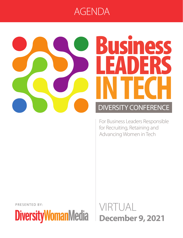### LEADERSIN TECH AGENDA



# Business LEADERS **IN TECH** DIVERSITY CONFERENCE

For Business Leaders Responsible for Recruiting, Retaining and Advancing Women in Tech

PRESENTED BY:

**DiversityWomanMedia** 

VIRTUAL **December 9, 2021**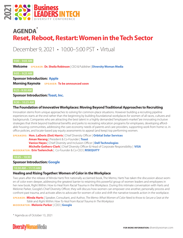

## **AGENDA\* Reset, Reboot, Restart: Women in the Tech Sector**

## December 9, 2021 • 10:00–5:00 PST • Virtual

#### **9:00 – 9:05 AM**

**Welcome SPEAKER: Dr. Sheila Robinson** | CEO & Publisher | **Diversity Woman Media**

#### **9:05 – 9:25 AM**

**Sponsor Introduction: Apple Morning Keynote** SPEAKER: To be announced soon

#### **9:25 –9:30 AM**

**Sponsor Introduction: Toast, Inc.**

#### **9:30 – 10:25 AM**

#### **The Foundation of Innovative Workplaces: Moving Beyond Traditional Approaches to Recruiting**

Innovation stems from unique approaches to solving for common-place situations. However building a recruiting pipeline experiences starts at the end rather than the beginning by building foundational workplaces for women of all races, cultures and backgrounds. Companies who are attracting the best talent in a highly demanded "employee's-market"are innovating inclusive strategies that think beyond traditional benefits and perks to recreating relocation programs for employees, developing affordable housing communities, addressing the care economy needs of parents and care providers, supporting work from home vs. in office policies, and locate-based pay equity assessments to appeal (and keep) top performing women.

**SPEAKERS: Hon. LaDoris (Dot) Harris** | Chief Diversity Officer | **Orbital Solar Services**

**Aman Narang** | President & Co-Founder | **Toast**

**Vanice Hayes** | Chief Diversity and Inclusion Officer | **Dell Technologies**

**Michelle Gethers-Clark** | Chief Diversity Officer & Head of Corporate Responsibility | **VISA** 

**MODERATOR: Erin Tselenchuk** | Co-Founder & Co-CEO | **RISEQUITY**

**10:25 – 10:30**

#### **Sponsor Introduction: Google**

#### **10:30 AM – 11:15 AM**

#### **Healing and Rising Together: Women of Color in the Workplace**

Two years after the release of Minda Harts' first nationally acclaimed book, The Memo, Harts' has taken the discussion about women of color even deeper, addressing the greatest barrier to retaining this powerful group of women leaders and employees in her new book, Right Within: How to Heal from Racial Trauma in the Workplace. During this intimate conversation with Harts and Melonie Parker, Google's Chief Diversity Officer, they will discuss how women can empower one another, personally process and confront past trauma, and activate allies to advocate for women of color and shift the narrative towards action in the workplace.

**SPEAKER: Minda Harts** | Speaker, Consultant, and Author, *The Memo: What Women of Color Need to Know to Secure a Seat at the Table* and *Right Within: How To Heal From Racial Trauma In The Workplace* 

**MODERATOR: Melonie Parker** | CDO | **Google**

\* Agenda as of October 13, 2021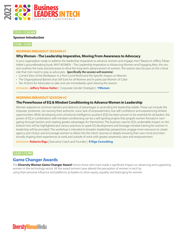

#### **11:15 –11:20 AM**

#### **Sponsor Introduction**

**11:20 – 12:30**

#### **MORNING BREAKOUT SESSION #1**

#### **Why Women - The Leadership Imperative, Moving From Awareness to Advocacy**

Is your organization ready to address the leadership imperative to advance women and engage men? Based on Jeffery Tobias Halter's groundbreaking book, WHY WOMEN – The Leadership Imperative to Advancing Women and Engaging Men, this session outlines the tools and processes to drive the long-term advancement of women. The session also focuses on the critical role that men need to play as advocates. *Specifically the session will examine:*

- Current View of the Workplace in a Post Covid World and the Specific Impact on Women
- The Organizational Barriers that Still Exist for all Women and in particular Women of Color
- Ten Actions for Advocates to take and use immediately upon leaving the session

**SPEAKER: Jeffery Tobias Halter** | Corporate Gender Strategist | **YWomen**

#### **MORNING BREAKOUT SESSION #2**

#### **The Powerhouse of EQ & Mindset Conditioning to Advance Women in Leadership**

Women experience common barriers and absence of advantages in ascending the leadership ladder. These can include the imposter syndrome, not owning their authentic voice, lack of empowerment, low self-confidence and experiencing limited opportunities. While developing one's emotional intelligence quotient (EQ) has been proven to be essential for all leaders, the power of EQ in combination with mindset conditioning can be a self-igniting engine that propels women forward in navigating through barriers and creating greater advantages for themselves. The business case for EQ's undeniable impact on the bottom-line will be highlighted and various practices to spark EQ development and leverage mindset training for women in leadership will be provided. The workshop is intended to broaden leadership perspectives, engage inner resources to create agency and choice, and encourage women to delve into the Hero's Journey to deeply knowing their own mind and intentionally shaping their experiences at work and outside of work with greater awareness, ease and empowerment.

**SPEAKER: Roberta Riga** | Executive Coach and Founder | **R Riga Consulting**

#### **12:30-1:15 PM**

#### **Game Changer Awards**

The **Diversity Woman Game Changer Award** honors those who have made a significant impact on advancing and supporting women in the technology sector. All the award winners have altered the perception of women in tech by using their personal influence and platforms as leaders to drive equity, equality and belonging for women.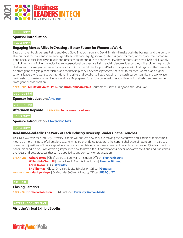

#### **1:15-1:20 PM**

#### **Sponsor Introduction**

**1:20-2:30 PM**

#### **Engaging Men as Allies in Creating a Better Future for Women at Work**

Based on their books Athena Rising and Good Guys, Brad Johnson and David Smith will make both the business and the personal/moral case for male engagement in gender equality and equity, showing why it is good for men, women, and their organizations. Because excellent allyship skills and practices are not unique to gender equity, they demonstrate how allyship skills apply to all dimensions of diversity including an intersectional perspective. Using social science evidence, they will explore the possible challenges of cross-gender professional relationships, especially in the post-#MeToo workplace. With findings from their research on cross-gender allyship, mentorship, and sponsorship, they'll offer best practices, the "how to" for men, women, and organizational leaders who want to be intentional, inclusive, and excellent allies, leveraging mentorship, sponsorship, and workplace partnership to create a more diverse workforce. Be prepared for a rich conversation around leveraging allyship and maximizing cross-gender collaboration!

**SPEAKERS: Dr. David Smith, Ph.D.** and **Brad Johnson, Ph.D.**, Authors of *Athena Rising* and *The Good Guys*

#### **2:30 – 2:35 PM**

#### **Sponsor Introduction: Amazon**

**2:35 – 3:15 PM**

**Afternoon Keynote SPEAKER: To be announced soon**

**3:15-3:20 PM**

**Sponsor Introduction: Electronic Arts**

#### **3:20-4:00 PM**

#### **Real-time/Real-talk: The Work of Tech Industry Diversity Leaders in the Trenches**

This live Q&A with tech industry Diversity Leaders will address how they are moving the executives and leaders of their companies to be more inclusive of all employees, and what are they doing to address the current challenge of retention – in particular of women. Questions will be accepted in advance from registered attendees as well as in real-time moderated Q&A from participants.This candid discussion offers a glimpse into how to have difficult conversations, offers innovative solutions, and transformative ideas and best practices that can be applied to any company or organization.

**SPEAKERS: Asha George** | Chief Diversity, Equity and Inclusion Officer | **Electronic Arts Willard McCloud III** | Global Head, Diversity & Inclusion | **Zimmer Biomet Carin Taylor** | CDO | **Workday Eric Thomas** | Global Diversity, Equity & Inclusion Officer | **Genesys MODERATOR: Marilyn Nagel** | Co-Founder & Chief Advocacy Officer | **RISEQUITY**

**4:00 – 4:05**

#### **Closing Remarks**

**SPEAKER: Dr. Sheila Robinson** | CEO & Publisher | **Diversity Woman Media**

**AFTER THE CONFERENCE**

**Visit the Virtual Exhibit Booths**